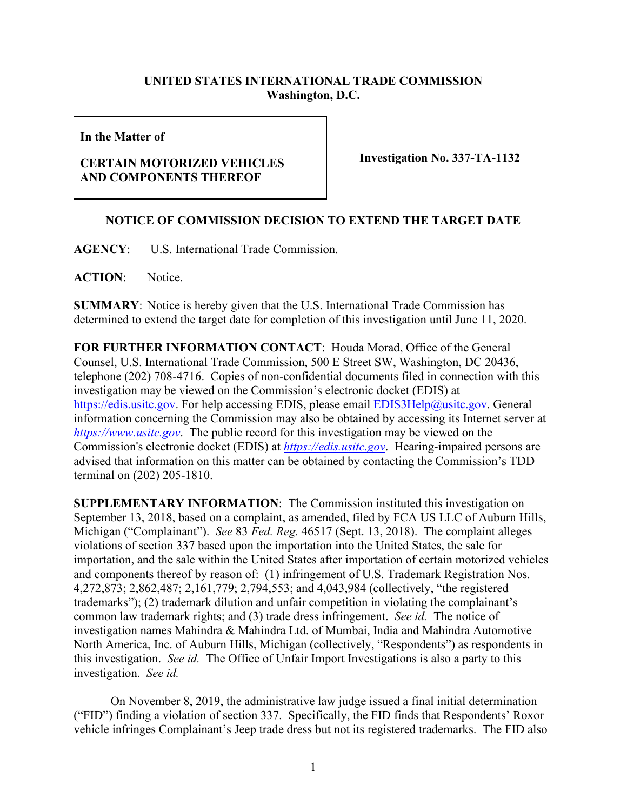## **UNITED STATES INTERNATIONAL TRADE COMMISSION Washington, D.C.**

**In the Matter of**

## **CERTAIN MOTORIZED VEHICLES AND COMPONENTS THEREOF**

**Investigation No. 337-TA-1132** 

## **NOTICE OF COMMISSION DECISION TO EXTEND THE TARGET DATE**

**AGENCY**: U.S. International Trade Commission.

**ACTION**: Notice.

**SUMMARY**: Notice is hereby given that the U.S. International Trade Commission has determined to extend the target date for completion of this investigation until June 11, 2020.

**FOR FURTHER INFORMATION CONTACT**: Houda Morad, Office of the General Counsel, U.S. International Trade Commission, 500 E Street SW, Washington, DC 20436, telephone (202) 708-4716. Copies of non-confidential documents filed in connection with this investigation may be viewed on the Commission's electronic docket (EDIS) at [https://edis.usitc.gov.](https://edis.usitc.gov/) For help accessing EDIS, please email [EDIS3Help@usitc.gov.](mailto:EDIS3Help@usitc.gov) General information concerning the Commission may also be obtained by accessing its Internet server at *[https://www.usitc.gov](https://www.usitc.gov/)*. The public record for this investigation may be viewed on the Commission's electronic docket (EDIS) at *[https://edis.usitc.gov](https://edis.usitc.gov/)*. Hearing-impaired persons are advised that information on this matter can be obtained by contacting the Commission's TDD terminal on (202) 205-1810.

**SUPPLEMENTARY INFORMATION**: The Commission instituted this investigation on September 13, 2018, based on a complaint, as amended, filed by FCA US LLC of Auburn Hills, Michigan ("Complainant"). *See* 83 *Fed. Reg.* 46517 (Sept. 13, 2018). The complaint alleges violations of section 337 based upon the importation into the United States, the sale for importation, and the sale within the United States after importation of certain motorized vehicles and components thereof by reason of: (1) infringement of U.S. Trademark Registration Nos. 4,272,873; 2,862,487; 2,161,779; 2,794,553; and 4,043,984 (collectively, "the registered trademarks"); (2) trademark dilution and unfair competition in violating the complainant's common law trademark rights; and (3) trade dress infringement. *See id.* The notice of investigation names Mahindra & Mahindra Ltd. of Mumbai, India and Mahindra Automotive North America, Inc. of Auburn Hills, Michigan (collectively, "Respondents") as respondents in this investigation. *See id.* The Office of Unfair Import Investigations is also a party to this investigation. *See id.* 

On November 8, 2019, the administrative law judge issued a final initial determination ("FID") finding a violation of section 337. Specifically, the FID finds that Respondents' Roxor vehicle infringes Complainant's Jeep trade dress but not its registered trademarks. The FID also